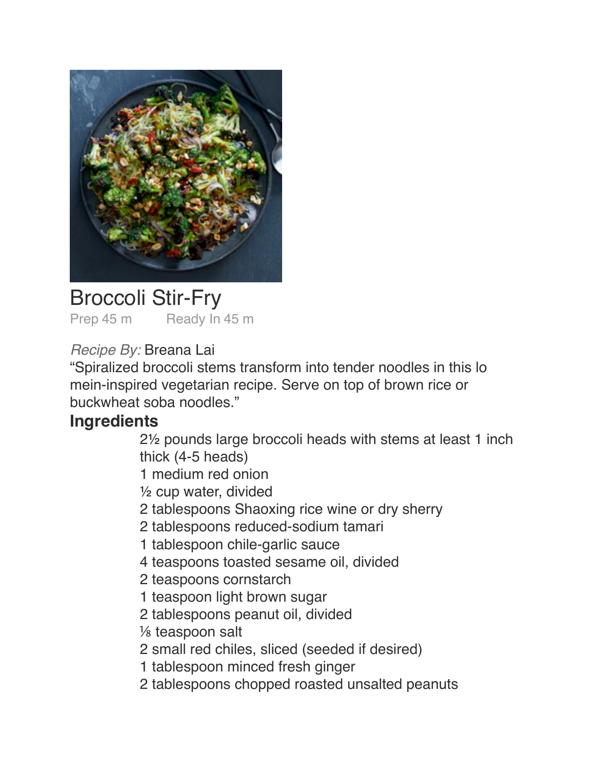

## Broccoli Stir-Fry

Prep 45 m Ready In 45 m

## *Recipe By:* Breana Lai

"Spiralized broccoli stems transform into tender noodles in this lo mein-inspired vegetarian recipe. Serve on top of brown rice or buckwheat soba noodles."

## **Ingredients**

2<sup>1/2</sup> pounds large broccoli heads with stems at least 1 inch thick (4-5 heads)

1 medium red onion

 $\frac{1}{2}$  cup water, divided

2 tablespoons Shaoxing rice wine or dry sherry

2 tablespoons reduced-sodium tamari

1 tablespoon chile-garlic sauce

4 teaspoons toasted sesame oil, divided

2 teaspoons cornstarch

- 1 teaspoon light brown sugar
- 2 tablespoons peanut oil, divided
- $\frac{1}{8}$  teaspoon salt
- 2 small red chiles, sliced (seeded if desired)
- 1 tablespoon minced fresh ginger
- 2 tablespoons chopped roasted unsalted peanuts